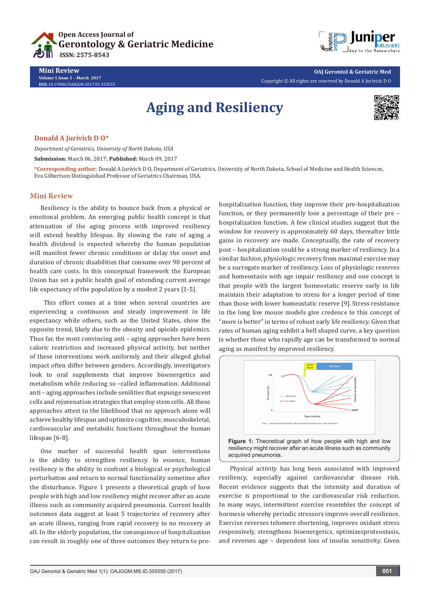



**OAJ Gerontol & Geriatric Med** Copyright © All rights are reserved by Donald A Jurivich D O

# **Aging and Resiliency**



## **Donald A Jurivich D O\***

*Department of Geriatrics, University of North Dakota, USA*

**Submission:** March 06, 2017; **Published:** March 09, 2017

**\*Corresponding author**: Donald A Jurivich D O, Department of Geriatrics, University of North Dakota, School of Medicine and Health Sciences, Eva Gilbertson Distinguished Professor of Geriatrics Chairman, USA.

#### **Mini Review**

Resiliency is the ability to bounce back from a physical or emotional problem. An emerging public health concept is that attenuation of the aging process with improved resiliency will extend healthy lifespan. By slowing the rate of aging a health dividend is expected whereby the human population will manifest fewer chronic conditions or delay the onset and duration of chronic disabilities that consume over 90 percent of health care costs. In this conceptual framework the European Union has set a public health goal of extending current average life expectancy of the population by a modest 2 years [1-5].

 This effort comes at a time when several countries are experiencing a continuous and steady improvement in life expectancy while others, such as the United States, show the opposite trend, likely due to the obesity and opioids epidemics. Thus far, the most convincing anti – aging approaches have been caloric restriction and increased physical activity, but neither of these interventions work uniformly and their alleged global impact often differ between genders. Accordingly, investigators look to oral supplements that improve bioenergetics and metabolism while reducing so –called inflammation. Additional anti – aging approaches include senilities that expunge senescent cells and rejuvenation strategies that employ stem cells. All these approaches attest to the likelihood that no approach alone will achieve healthy lifespan and optimize cognitive, musculoskeletal, cardiovascular and metabolic functions throughout the human lifespan [6-8].

One marker of successful health span interventions is the ability to strengthen resiliency. In essence, human resiliency is the ability to confront a biological or psychological perturbation and return to normal functionality sometime after the disturbance. Figure 1 presents a theoretical graph of how people with high and low resiliency might recover after an acute illness such as community acquired pneumonia. Current health outcomes data suggest at least 5 trajectories of recovery after an acute illness, ranging from rapid recovery to no recovery at all. In the elderly population, the consequence of hospitalization can result in roughly one of three outcomes they return to prehospitalization function, they improve their pre-hospitalization function, or they permanently lose a percentage of their pre – hospitalization function. A few clinical studies suggest that the window for recovery is approximately 60 days, thereafter little gains in recovery are made. Conceptually, the rate of recovery post – hospitalization could be a strong marker of resiliency. In a similar fashion, physiologic recovery from maximal exercise may be a surrogate marker of resiliency. Loss of physiologic reserves and homeostasis with age impair resiliency and one concept is that people with the largest homeostatic reserve early in life maintain their adaptation to stress for a longer period of time than those with lower homeostatic reserve [9]. Stress resistance in the long live mouse models give credence to this concept of "more is better" in terms of robust early life resiliency. Given that rates of human aging exhibit a bell shaped curve, a key question is whether those who rapidly age can be transformed to normal aging as manifest by improved resiliency.



resiliency might recover after an acute illness such as community acquired pneumonia.

Physical activity has long been associated with improved resiliency, especially against cardiovascular disease risk. Recent evidence suggests that the intensity and duration of exercise is proportional to the cardiovascular risk reduction. In many ways, intermittent exercise resembles the concept of hormesis whereby periodic stressors improve overall resilience. Exercise reverses telomere shortening, improves oxidant stress responsively, strengthens bioenergetics, optimizesproteostasis, and reverses age – dependent loss of insulin sensitivity. Given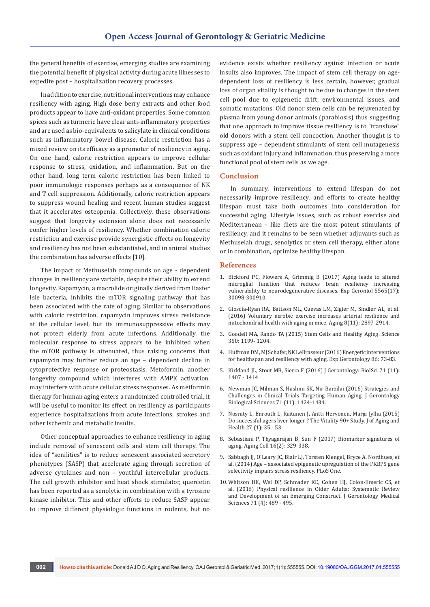the general benefits of exercise, emerging studies are examining the potential benefit of physical activity during acute illnesses to expedite post – hospitalization recovery processes.

In addition to exercise, nutritional interventions may enhance resiliency with aging. High dose berry extracts and other food products appear to have anti-oxidant properties. Some common spices such as turmeric have clear anti-inflammatory properties and are used as bio-equivalents to salicylate in clinical conditions such as inflammatory bowel disease. Caloric restriction has a mixed review on its efficacy as a promoter of resiliency in aging. On one hand, caloric restriction appears to improve cellular response to stress, oxidation, and inflammation. But on the other hand, long term caloric restriction has been linked to poor immunologic responses perhaps as a consequence of NK and T cell suppression. Additionally, caloric restriction appears to suppress wound healing and recent human studies suggest that it accelerates osteopenia. Collectively, these observations suggest that longevity extension alone does not necessarily confer higher levels of resiliency. Whether combination caloric restriction and exercise provide synergistic effects on longevity and resiliency has not been substantiated, and in animal studies the combination has adverse effects [10].

The impact of Methuselah compounds on age - dependent changes in resiliency are variable, despite their ability to extend longevity. Rapamycin, a macrolide originally derived from Easter Isle bacteria, inhibits the mTOR signaling pathway that has been associated with the rate of aging. Similar to observations with caloric restriction, rapamycin improves stress resistance at the cellular level, but its immunosuppressive effects may not protect elderly from acute infections. Additionally, the molecular response to stress appears to be inhibited when the mTOR pathway is attenuated, thus raising concerns that rapamycin may further reduce an age – dependent decline in cytoprotective response or proteostasis. Metoformin, another longevity compound which interferes with AMPK activation, may interfere with acute cellular stress responses. As metformin therapy for human aging enters a randomized controlled trial, it will be useful to monitor its effect on resiliency as participants experience hospitalizations from acute infections, strokes and other ischemic and metabolic insults.

Other conceptual approaches to enhance resiliency in aging include removal of senescent cells and stem cell therapy. The idea of "senilities" is to reduce senescent associated secretory phenotypes (SASP) that accelerate aging through secretion of adverse cytokines and non – youthful intercellular products. The cell growth inhibitor and heat shock stimulator, quercetin has been reported as a senolytic in combination with a tyrosine kinase inhibitor. This and other efforts to reduce SASP appear to improve different physiologic functions in rodents, but no

evidence exists whether resiliency against infection or acute insults also improves. The impact of stem cell therapy on agedependent loss of resiliency is less certain, however, gradual loss of organ vitality is thought to be due to changes in the stem cell pool due to epigenetic drift, environmental issues, and somatic mutations. Old donor stem cells can be rejuvenated by plasma from young donor animals (parabiosis) thus suggesting that one approach to improve tissue resiliency is to "transfuse" old donors with a stem cell concoction. Another thought is to suppress age – dependent stimulants of stem cell mutagenesis such as oxidant injury and inflammation, thus preserving a more functional pool of stem cells as we age.

#### **Conclusion**

In summary, interventions to extend lifespan do not necessarily improve resiliency, and efforts to create healthy lifespan must take both outcomes into consideration for successful aging. Lifestyle issues, such as robust exercise and Mediterranean – like diets are the most potent stimulants of resiliency, and it remains to be seen whether adjuvants such as Methuselah drugs, senolytics or stem cell therapy, either alone or in combination, optimize healthy lifespan.

### **References**

- 1. [Bickford PC, Flowers A, Grimmig B \(2017\) Aging leads to altered](https://www.ncbi.nlm.nih.gov/pubmed/28163132)  [microglial function that reduces brain resiliency increasing](https://www.ncbi.nlm.nih.gov/pubmed/28163132)  [vulnerability to neurodegenerative diseases. Exp Gerontol 5565\(17\):](https://www.ncbi.nlm.nih.gov/pubmed/28163132)  [30098-300910.](https://www.ncbi.nlm.nih.gov/pubmed/28163132)
- 2. Gloscia-Ryan RA, Battson ML, Cuevas LM, [Zigler M,](https://www.ncbi.nlm.nih.gov/pubmed/?term=Zigler%20MC%5BAuthor%5D&cauthor=true&cauthor_uid=27875805) [Sindler AL, et al.](https://www.ncbi.nlm.nih.gov/pubmed/?term=Sindler%20AL%5BAuthor%5D&cauthor=true&cauthor_uid=27875805)  [\(2016\) Voluntary aerobic exercise increases arterial resilience and](https://www.ncbi.nlm.nih.gov/pubmed/?term=Sindler%20AL%5BAuthor%5D&cauthor=true&cauthor_uid=27875805)  [mitochondrial health with aging in mice. Aging 8\(11\): 2897-2914.](https://www.ncbi.nlm.nih.gov/pubmed/?term=Sindler%20AL%5BAuthor%5D&cauthor=true&cauthor_uid=27875805)
- 3. [Goodell MA, Rando TA \(2015\) Stem Cells and Healthy Aging. Science](http://science.sciencemag.org/content/350/6265/1199)  [350: 1199- 1204.](http://science.sciencemag.org/content/350/6265/1199)
- 4. [Huffman DM, MJ Schafer, NK LeBrasseur \(2016\) Energetic interventions](https://www.ncbi.nlm.nih.gov/pubmed/27260561)  [for healthspan and resiliency with aging. Exp Gerontology 86: 73-83.](https://www.ncbi.nlm.nih.gov/pubmed/27260561)
- 5. Kirkland JL, Stout MB, Sierra F (2016) J Gerontology: BiolSci 71 (11): 1407 - 1414
- 6. [Newman JC, Milman S, Hashmi SK, Nir Barzilai \(2016\) Strategies and](https://www.researchgate.net/publication/306269021_Strategies_and_Challenges_in_Clinical_Trials_Targeting_Human_Aging)  [Challenges in Clinical Trials Targeting Human Aging. J Gerontology](https://www.researchgate.net/publication/306269021_Strategies_and_Challenges_in_Clinical_Trials_Targeting_Human_Aging)  [Biological Sciences 71 \(11\): 1424-1434.](https://www.researchgate.net/publication/306269021_Strategies_and_Challenges_in_Clinical_Trials_Targeting_Human_Aging)
- 7. [Nosraty L, Enrouth L, Raitanen J, Antti Hervonen, Marja Jylha \(2015\)](http://journals.sagepub.com/doi/abs/10.1177/0898264314535804)  [Do successful agers liver longer ? The Vitality 90+ Study. J of Aging and](http://journals.sagepub.com/doi/abs/10.1177/0898264314535804)  [Health 27 \(1\): 35 - 53.](http://journals.sagepub.com/doi/abs/10.1177/0898264314535804)
- 8. [Sebastiani P, Thyagarajan B, Sun F \(2017\) Biomarker signatures of](http://onlinelibrary.wiley.com/doi/10.1111/acel.12557/full)  [aging. Aging Cell 16\(2\): 329-338.](http://onlinelibrary.wiley.com/doi/10.1111/acel.12557/full)
- 9. [Sabbagh JJ, O'Leary JC, Blair LJ, Torsten Klengel, Bryce A. Nordhues, et](http://journals.plos.org/plosone/article?id=10.1371/journal.pone.0107241)  [al. \(2014\) Age – associated epigenetic upregulation of the FKBP5 gene](http://journals.plos.org/plosone/article?id=10.1371/journal.pone.0107241)  [selectivity impairs stress resiliency. PLoS One.](http://journals.plos.org/plosone/article?id=10.1371/journal.pone.0107241)
- 10. [Whitson HE, Wei DP, Schmader KE, Cohen HJ,](https://www.ncbi.nlm.nih.gov/pubmed/26718984) Colon-Emeric CS, et [al. \(2016\) Physical resilience in Older Adults: Systematic Review](https://www.ncbi.nlm.nih.gov/pubmed/26718984)  [and Development of an Emerging Construct. J Gerontology Medical](https://www.ncbi.nlm.nih.gov/pubmed/26718984)  [Sciences 71 \(4\): 489 - 495.](https://www.ncbi.nlm.nih.gov/pubmed/26718984)